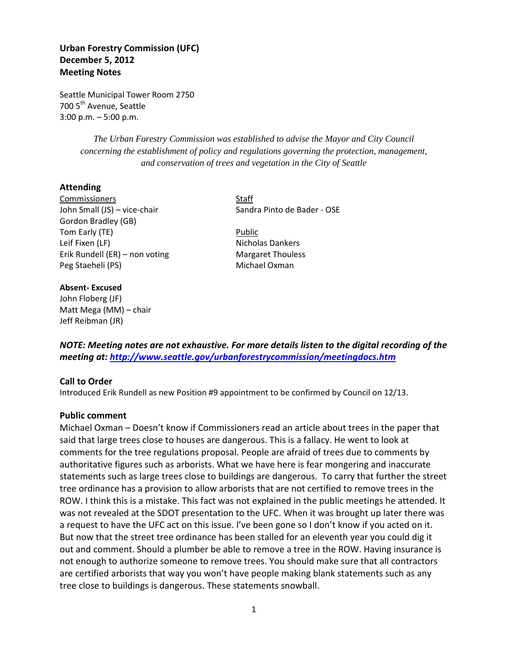# **Urban Forestry Commission (UFC) December 5, 2012 Meeting Notes**

Seattle Municipal Tower Room 2750 700 5<sup>th</sup> Avenue, Seattle 3:00 p.m. – 5:00 p.m.

> *The Urban Forestry Commission was established to advise the Mayor and City Council concerning the establishment of policy and regulations governing the protection, management, and conservation of trees and vegetation in the City of Seattle*

### **Attending**

Commissioners Staff John Small (JS) – vice-chair Sandra Pinto de Bader - OSE Gordon Bradley (GB) Tom Early (TE) **Public** Leif Fixen (LF) Nicholas Dankers Erik Rundell (ER) – non voting Margaret Thouless Peg Staeheli (PS) Michael Oxman

#### **Absent- Excused**

John Floberg (JF) Matt Mega (MM) – chair Jeff Reibman (JR)

*NOTE: Meeting notes are not exhaustive. For more details listen to the digital recording of the meeting at:<http://www.seattle.gov/urbanforestrycommission/meetingdocs.htm>*

#### **Call to Order**

Introduced Erik Rundell as new Position #9 appointment to be confirmed by Council on 12/13.

#### **Public comment**

Michael Oxman – Doesn't know if Commissioners read an article about trees in the paper that said that large trees close to houses are dangerous. This is a fallacy. He went to look at comments for the tree regulations proposal. People are afraid of trees due to comments by authoritative figures such as arborists. What we have here is fear mongering and inaccurate statements such as large trees close to buildings are dangerous. To carry that further the street tree ordinance has a provision to allow arborists that are not certified to remove trees in the ROW. I think this is a mistake. This fact was not explained in the public meetings he attended. It was not revealed at the SDOT presentation to the UFC. When it was brought up later there was a request to have the UFC act on this issue. I've been gone so I don't know if you acted on it. But now that the street tree ordinance has been stalled for an eleventh year you could dig it out and comment. Should a plumber be able to remove a tree in the ROW. Having insurance is not enough to authorize someone to remove trees. You should make sure that all contractors are certified arborists that way you won't have people making blank statements such as any tree close to buildings is dangerous. These statements snowball.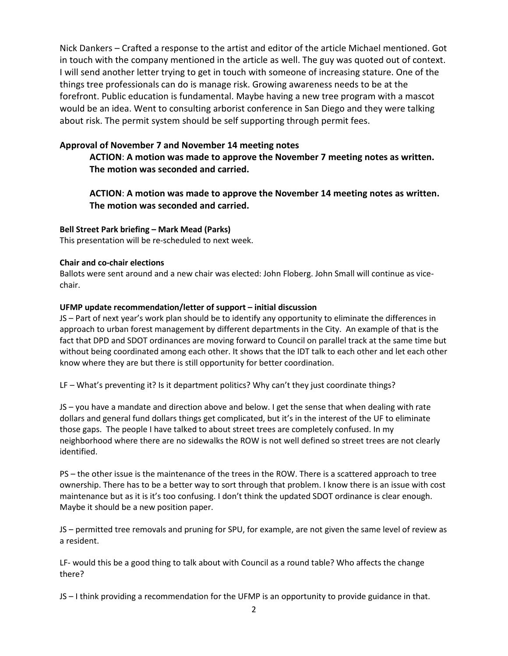Nick Dankers – Crafted a response to the artist and editor of the article Michael mentioned. Got in touch with the company mentioned in the article as well. The guy was quoted out of context. I will send another letter trying to get in touch with someone of increasing stature. One of the things tree professionals can do is manage risk. Growing awareness needs to be at the forefront. Public education is fundamental. Maybe having a new tree program with a mascot would be an idea. Went to consulting arborist conference in San Diego and they were talking about risk. The permit system should be self supporting through permit fees.

## **Approval of November 7 and November 14 meeting notes**

**ACTION**: **A motion was made to approve the November 7 meeting notes as written. The motion was seconded and carried.** 

**ACTION**: **A motion was made to approve the November 14 meeting notes as written. The motion was seconded and carried.** 

## **Bell Street Park briefing – Mark Mead (Parks)**

This presentation will be re-scheduled to next week.

### **Chair and co-chair elections**

Ballots were sent around and a new chair was elected: John Floberg. John Small will continue as vicechair.

### **UFMP update recommendation/letter of support – initial discussion**

JS – Part of next year's work plan should be to identify any opportunity to eliminate the differences in approach to urban forest management by different departments in the City. An example of that is the fact that DPD and SDOT ordinances are moving forward to Council on parallel track at the same time but without being coordinated among each other. It shows that the IDT talk to each other and let each other know where they are but there is still opportunity for better coordination.

LF – What's preventing it? Is it department politics? Why can't they just coordinate things?

JS – you have a mandate and direction above and below. I get the sense that when dealing with rate dollars and general fund dollars things get complicated, but it's in the interest of the UF to eliminate those gaps. The people I have talked to about street trees are completely confused. In my neighborhood where there are no sidewalks the ROW is not well defined so street trees are not clearly identified.

PS – the other issue is the maintenance of the trees in the ROW. There is a scattered approach to tree ownership. There has to be a better way to sort through that problem. I know there is an issue with cost maintenance but as it is it's too confusing. I don't think the updated SDOT ordinance is clear enough. Maybe it should be a new position paper.

JS – permitted tree removals and pruning for SPU, for example, are not given the same level of review as a resident.

LF- would this be a good thing to talk about with Council as a round table? Who affects the change there?

JS – I think providing a recommendation for the UFMP is an opportunity to provide guidance in that.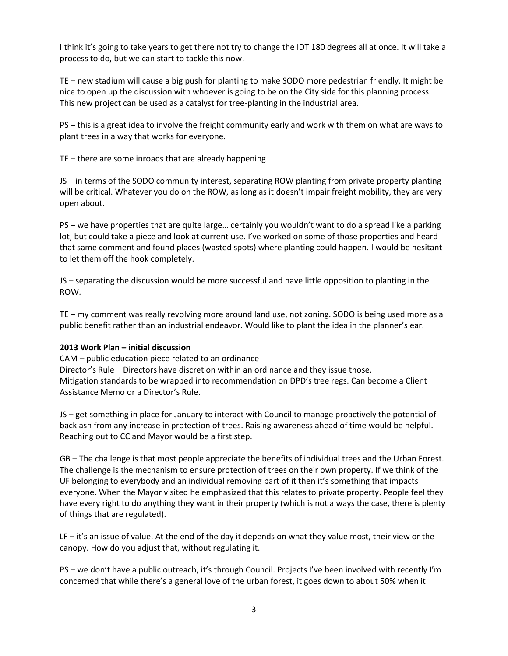I think it's going to take years to get there not try to change the IDT 180 degrees all at once. It will take a process to do, but we can start to tackle this now.

TE – new stadium will cause a big push for planting to make SODO more pedestrian friendly. It might be nice to open up the discussion with whoever is going to be on the City side for this planning process. This new project can be used as a catalyst for tree-planting in the industrial area.

PS – this is a great idea to involve the freight community early and work with them on what are ways to plant trees in a way that works for everyone.

TE – there are some inroads that are already happening

JS – in terms of the SODO community interest, separating ROW planting from private property planting will be critical. Whatever you do on the ROW, as long as it doesn't impair freight mobility, they are very open about.

PS – we have properties that are quite large… certainly you wouldn't want to do a spread like a parking lot, but could take a piece and look at current use. I've worked on some of those properties and heard that same comment and found places (wasted spots) where planting could happen. I would be hesitant to let them off the hook completely.

JS – separating the discussion would be more successful and have little opposition to planting in the ROW.

TE – my comment was really revolving more around land use, not zoning. SODO is being used more as a public benefit rather than an industrial endeavor. Would like to plant the idea in the planner's ear.

### **2013 Work Plan – initial discussion**

CAM – public education piece related to an ordinance Director's Rule – Directors have discretion within an ordinance and they issue those. Mitigation standards to be wrapped into recommendation on DPD's tree regs. Can become a Client Assistance Memo or a Director's Rule.

JS – get something in place for January to interact with Council to manage proactively the potential of backlash from any increase in protection of trees. Raising awareness ahead of time would be helpful. Reaching out to CC and Mayor would be a first step.

GB – The challenge is that most people appreciate the benefits of individual trees and the Urban Forest. The challenge is the mechanism to ensure protection of trees on their own property. If we think of the UF belonging to everybody and an individual removing part of it then it's something that impacts everyone. When the Mayor visited he emphasized that this relates to private property. People feel they have every right to do anything they want in their property (which is not always the case, there is plenty of things that are regulated).

LF – it's an issue of value. At the end of the day it depends on what they value most, their view or the canopy. How do you adjust that, without regulating it.

PS – we don't have a public outreach, it's through Council. Projects I've been involved with recently I'm concerned that while there's a general love of the urban forest, it goes down to about 50% when it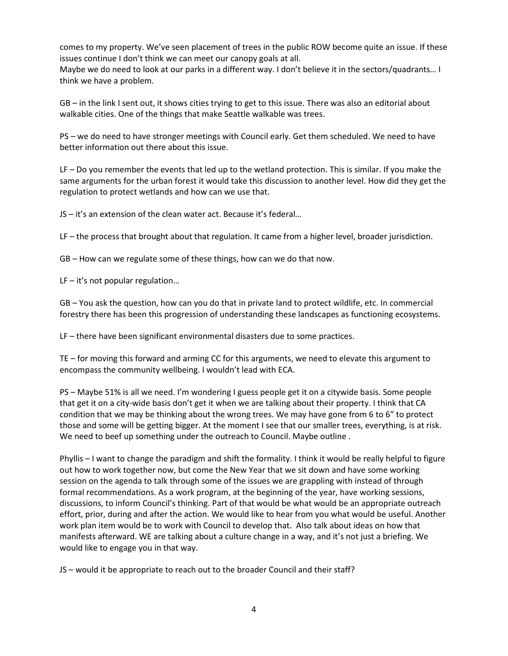comes to my property. We've seen placement of trees in the public ROW become quite an issue. If these issues continue I don't think we can meet our canopy goals at all.

Maybe we do need to look at our parks in a different way. I don't believe it in the sectors/quadrants… I think we have a problem.

GB – in the link I sent out, it shows cities trying to get to this issue. There was also an editorial about walkable cities. One of the things that make Seattle walkable was trees.

PS – we do need to have stronger meetings with Council early. Get them scheduled. We need to have better information out there about this issue.

LF – Do you remember the events that led up to the wetland protection. This is similar. If you make the same arguments for the urban forest it would take this discussion to another level. How did they get the regulation to protect wetlands and how can we use that.

JS – it's an extension of the clean water act. Because it's federal…

LF – the process that brought about that regulation. It came from a higher level, broader jurisdiction.

GB – How can we regulate some of these things, how can we do that now.

LF – it's not popular regulation…

GB – You ask the question, how can you do that in private land to protect wildlife, etc. In commercial forestry there has been this progression of understanding these landscapes as functioning ecosystems.

LF – there have been significant environmental disasters due to some practices.

TE – for moving this forward and arming CC for this arguments, we need to elevate this argument to encompass the community wellbeing. I wouldn't lead with ECA.

PS – Maybe 51% is all we need. I'm wondering I guess people get it on a citywide basis. Some people that get it on a city-wide basis don't get it when we are talking about their property. I think that CA condition that we may be thinking about the wrong trees. We may have gone from 6 to 6" to protect those and some will be getting bigger. At the moment I see that our smaller trees, everything, is at risk. We need to beef up something under the outreach to Council. Maybe outline .

Phyllis – I want to change the paradigm and shift the formality. I think it would be really helpful to figure out how to work together now, but come the New Year that we sit down and have some working session on the agenda to talk through some of the issues we are grappling with instead of through formal recommendations. As a work program, at the beginning of the year, have working sessions, discussions, to inform Council's thinking. Part of that would be what would be an appropriate outreach effort, prior, during and after the action. We would like to hear from you what would be useful. Another work plan item would be to work with Council to develop that. Also talk about ideas on how that manifests afterward. WE are talking about a culture change in a way, and it's not just a briefing. We would like to engage you in that way.

JS – would it be appropriate to reach out to the broader Council and their staff?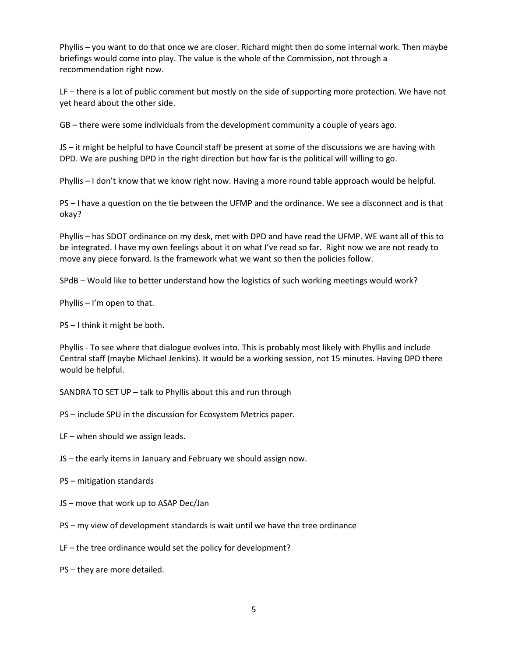Phyllis – you want to do that once we are closer. Richard might then do some internal work. Then maybe briefings would come into play. The value is the whole of the Commission, not through a recommendation right now.

LF – there is a lot of public comment but mostly on the side of supporting more protection. We have not yet heard about the other side.

GB – there were some individuals from the development community a couple of years ago.

JS – it might be helpful to have Council staff be present at some of the discussions we are having with DPD. We are pushing DPD in the right direction but how far is the political will willing to go.

Phyllis – I don't know that we know right now. Having a more round table approach would be helpful.

PS – I have a question on the tie between the UFMP and the ordinance. We see a disconnect and is that okay?

Phyllis – has SDOT ordinance on my desk, met with DPD and have read the UFMP. WE want all of this to be integrated. I have my own feelings about it on what I've read so far. Right now we are not ready to move any piece forward. Is the framework what we want so then the policies follow.

SPdB – Would like to better understand how the logistics of such working meetings would work?

Phyllis – I'm open to that.

PS – I think it might be both.

Phyllis - To see where that dialogue evolves into. This is probably most likely with Phyllis and include Central staff (maybe Michael Jenkins). It would be a working session, not 15 minutes. Having DPD there would be helpful.

SANDRA TO SET UP – talk to Phyllis about this and run through

PS – include SPU in the discussion for Ecosystem Metrics paper.

LF – when should we assign leads.

JS – the early items in January and February we should assign now.

- PS mitigation standards
- JS move that work up to ASAP Dec/Jan
- PS my view of development standards is wait until we have the tree ordinance
- LF the tree ordinance would set the policy for development?
- PS they are more detailed.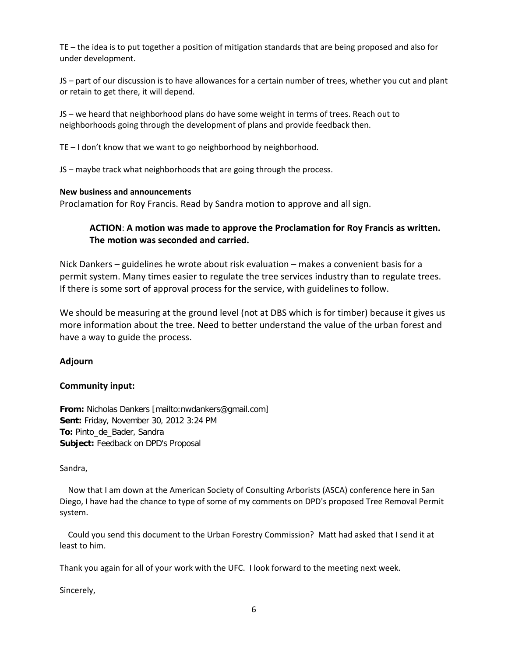TE – the idea is to put together a position of mitigation standards that are being proposed and also for under development.

JS – part of our discussion is to have allowances for a certain number of trees, whether you cut and plant or retain to get there, it will depend.

JS – we heard that neighborhood plans do have some weight in terms of trees. Reach out to neighborhoods going through the development of plans and provide feedback then.

TE – I don't know that we want to go neighborhood by neighborhood.

JS – maybe track what neighborhoods that are going through the process.

### **New business and announcements**

Proclamation for Roy Francis. Read by Sandra motion to approve and all sign.

# **ACTION**: **A motion was made to approve the Proclamation for Roy Francis as written. The motion was seconded and carried.**

Nick Dankers – guidelines he wrote about risk evaluation – makes a convenient basis for a permit system. Many times easier to regulate the tree services industry than to regulate trees. If there is some sort of approval process for the service, with guidelines to follow.

We should be measuring at the ground level (not at DBS which is for timber) because it gives us more information about the tree. Need to better understand the value of the urban forest and have a way to guide the process.

## **Adjourn**

### **Community input:**

**From:** Nicholas Dankers [mailto:nwdankers@gmail.com] **Sent:** Friday, November 30, 2012 3:24 PM **To:** Pinto\_de\_Bader, Sandra **Subject:** Feedback on DPD's Proposal

### Sandra,

 Now that I am down at the American Society of Consulting Arborists (ASCA) conference here in San Diego, I have had the chance to type of some of my comments on DPD's proposed Tree Removal Permit system.

 Could you send this document to the Urban Forestry Commission? Matt had asked that I send it at least to him.

Thank you again for all of your work with the UFC. I look forward to the meeting next week.

Sincerely,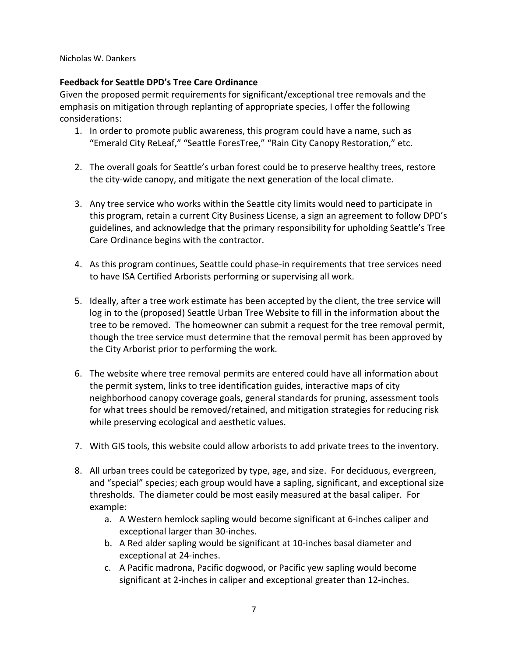Nicholas W. Dankers

# **Feedback for Seattle DPD's Tree Care Ordinance**

Given the proposed permit requirements for significant/exceptional tree removals and the emphasis on mitigation through replanting of appropriate species, I offer the following considerations:

- 1. In order to promote public awareness, this program could have a name, such as "Emerald City ReLeaf," "Seattle ForesTree," "Rain City Canopy Restoration," etc.
- 2. The overall goals for Seattle's urban forest could be to preserve healthy trees, restore the city-wide canopy, and mitigate the next generation of the local climate.
- 3. Any tree service who works within the Seattle city limits would need to participate in this program, retain a current City Business License, a sign an agreement to follow DPD's guidelines, and acknowledge that the primary responsibility for upholding Seattle's Tree Care Ordinance begins with the contractor.
- 4. As this program continues, Seattle could phase-in requirements that tree services need to have ISA Certified Arborists performing or supervising all work.
- 5. Ideally, after a tree work estimate has been accepted by the client, the tree service will log in to the (proposed) Seattle Urban Tree Website to fill in the information about the tree to be removed. The homeowner can submit a request for the tree removal permit, though the tree service must determine that the removal permit has been approved by the City Arborist prior to performing the work.
- 6. The website where tree removal permits are entered could have all information about the permit system, links to tree identification guides, interactive maps of city neighborhood canopy coverage goals, general standards for pruning, assessment tools for what trees should be removed/retained, and mitigation strategies for reducing risk while preserving ecological and aesthetic values.
- 7. With GIS tools, this website could allow arborists to add private trees to the inventory.
- 8. All urban trees could be categorized by type, age, and size. For deciduous, evergreen, and "special" species; each group would have a sapling, significant, and exceptional size thresholds. The diameter could be most easily measured at the basal caliper. For example:
	- a. A Western hemlock sapling would become significant at 6-inches caliper and exceptional larger than 30-inches.
	- b. A Red alder sapling would be significant at 10-inches basal diameter and exceptional at 24-inches.
	- c. A Pacific madrona, Pacific dogwood, or Pacific yew sapling would become significant at 2-inches in caliper and exceptional greater than 12-inches.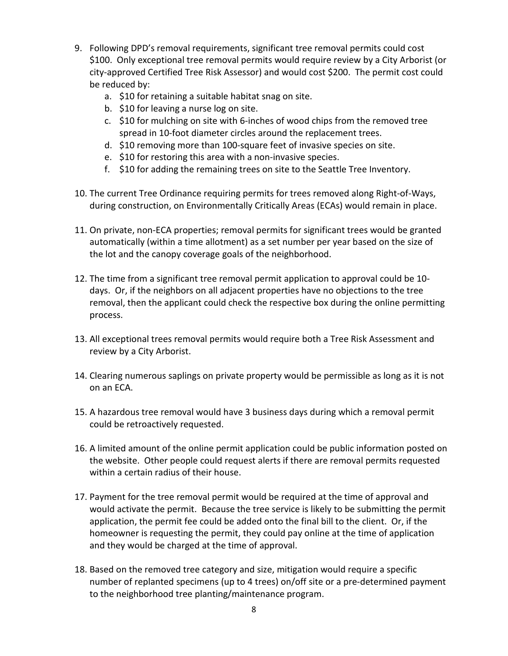- 9. Following DPD's removal requirements, significant tree removal permits could cost \$100. Only exceptional tree removal permits would require review by a City Arborist (or city-approved Certified Tree Risk Assessor) and would cost \$200. The permit cost could be reduced by:
	- a. \$10 for retaining a suitable habitat snag on site.
	- b. \$10 for leaving a nurse log on site.
	- c. \$10 for mulching on site with 6-inches of wood chips from the removed tree spread in 10-foot diameter circles around the replacement trees.
	- d. \$10 removing more than 100-square feet of invasive species on site.
	- e. \$10 for restoring this area with a non-invasive species.
	- f. \$10 for adding the remaining trees on site to the Seattle Tree Inventory.
- 10. The current Tree Ordinance requiring permits for trees removed along Right-of-Ways, during construction, on Environmentally Critically Areas (ECAs) would remain in place.
- 11. On private, non-ECA properties; removal permits for significant trees would be granted automatically (within a time allotment) as a set number per year based on the size of the lot and the canopy coverage goals of the neighborhood.
- 12. The time from a significant tree removal permit application to approval could be 10 days. Or, if the neighbors on all adjacent properties have no objections to the tree removal, then the applicant could check the respective box during the online permitting process.
- 13. All exceptional trees removal permits would require both a Tree Risk Assessment and review by a City Arborist.
- 14. Clearing numerous saplings on private property would be permissible as long as it is not on an ECA.
- 15. A hazardous tree removal would have 3 business days during which a removal permit could be retroactively requested.
- 16. A limited amount of the online permit application could be public information posted on the website. Other people could request alerts if there are removal permits requested within a certain radius of their house.
- 17. Payment for the tree removal permit would be required at the time of approval and would activate the permit. Because the tree service is likely to be submitting the permit application, the permit fee could be added onto the final bill to the client. Or, if the homeowner is requesting the permit, they could pay online at the time of application and they would be charged at the time of approval.
- 18. Based on the removed tree category and size, mitigation would require a specific number of replanted specimens (up to 4 trees) on/off site or a pre-determined payment to the neighborhood tree planting/maintenance program.